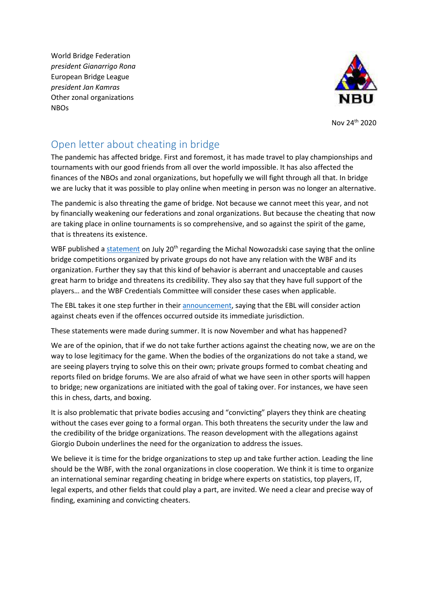World Bridge Federation *president Gianarrigo Rona* European Bridge League *president Jan Kamras* Other zonal organizations NBOs



Nov 24th 2020

## Open letter about cheating in bridge

The pandemic has affected bridge. First and foremost, it has made travel to play championships and tournaments with our good friends from all over the world impossible. It has also affected the finances of the NBOs and zonal organizations, but hopefully we will fight through all that. In bridge we are lucky that it was possible to play online when meeting in person was no longer an alternative.

The pandemic is also threating the game of bridge. Not because we cannot meet this year, and not by financially weakening our federations and zonal organizations. But because the cheating that now are taking place in online tournaments is so comprehensive, and so against the spirit of the game, that is threatens its existence.

WBF published a [statement](http://www.worldbridge.org/wp-content/uploads/2020/07/ManagementCommitteeStatement20July2020.pdf) on July 20<sup>th</sup> regarding the Michal Nowozadski case saying that the online bridge competitions organized by private groups do not have any relation with the WBF and its organization. Further they say that this kind of behavior is aberrant and unacceptable and causes great harm to bridge and threatens its credibility. They also say that they have full support of the players… and the WBF Credentials Committee will consider these cases when applicable.

The EBL takes it one step further in thei[r announcement,](http://www.eurobridge.org/2020/07/28/revelation-of-cheating-at-online-bridge-events/) saying that the EBL will consider action against cheats even if the offences occurred outside its immediate jurisdiction.

These statements were made during summer. It is now November and what has happened?

We are of the opinion, that if we do not take further actions against the cheating now, we are on the way to lose legitimacy for the game. When the bodies of the organizations do not take a stand, we are seeing players trying to solve this on their own; private groups formed to combat cheating and reports filed on bridge forums. We are also afraid of what we have seen in other sports will happen to bridge; new organizations are initiated with the goal of taking over. For instances, we have seen this in chess, darts, and boxing.

It is also problematic that private bodies accusing and "convicting" players they think are cheating without the cases ever going to a formal organ. This both threatens the security under the law and the credibility of the bridge organizations. The reason development with the allegations against Giorgio Duboin underlines the need for the organization to address the issues.

We believe it is time for the bridge organizations to step up and take further action. Leading the line should be the WBF, with the zonal organizations in close cooperation. We think it is time to organize an international seminar regarding cheating in bridge where experts on statistics, top players, IT, legal experts, and other fields that could play a part, are invited. We need a clear and precise way of finding, examining and convicting cheaters.